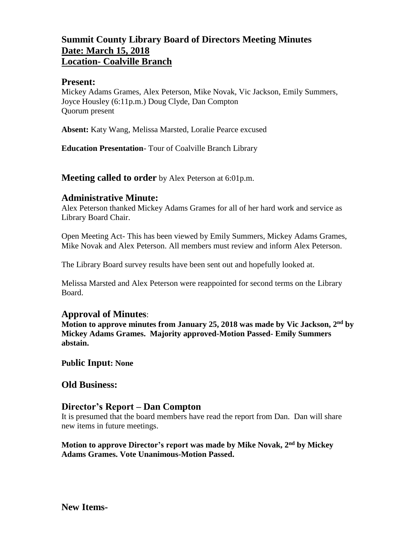## **Summit County Library Board of Directors Meeting Minutes Date: March 15, 2018 Location- Coalville Branch**

### **Present:**

Mickey Adams Grames, Alex Peterson, Mike Novak, Vic Jackson, Emily Summers, Joyce Housley (6:11p.m.) Doug Clyde, Dan Compton Quorum present

**Absent:** Katy Wang, Melissa Marsted, Loralie Pearce excused

**Education Presentation**- Tour of Coalville Branch Library

**Meeting called to order** by Alex Peterson at 6:01p.m.

### **Administrative Minute:**

Alex Peterson thanked Mickey Adams Grames for all of her hard work and service as Library Board Chair.

Open Meeting Act- This has been viewed by Emily Summers, Mickey Adams Grames, Mike Novak and Alex Peterson. All members must review and inform Alex Peterson.

The Library Board survey results have been sent out and hopefully looked at.

Melissa Marsted and Alex Peterson were reappointed for second terms on the Library Board.

### **Approval of Minutes**:

**Motion to approve minutes from January 25, 2018 was made by Vic Jackson, 2 nd by Mickey Adams Grames. Majority approved-Motion Passed- Emily Summers abstain.** 

**Public Input: None**

### **Old Business:**

### **Director's Report – Dan Compton**

It is presumed that the board members have read the report from Dan. Dan will share new items in future meetings.

**Motion to approve Director's report was made by Mike Novak, 2nd by Mickey Adams Grames. Vote Unanimous-Motion Passed.**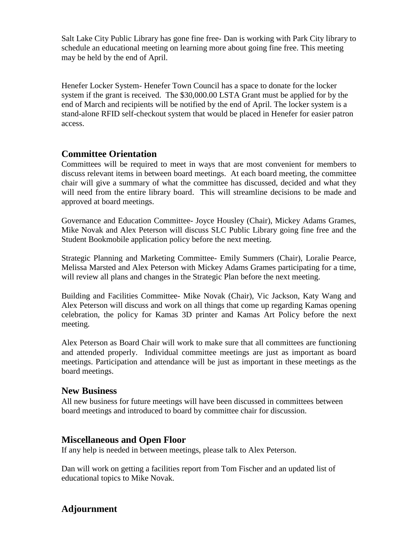Salt Lake City Public Library has gone fine free- Dan is working with Park City library to schedule an educational meeting on learning more about going fine free. This meeting may be held by the end of April.

Henefer Locker System- Henefer Town Council has a space to donate for the locker system if the grant is received. The \$30,000.00 LSTA Grant must be applied for by the end of March and recipients will be notified by the end of April. The locker system is a stand-alone RFID self-checkout system that would be placed in Henefer for easier patron access.

## **Committee Orientation**

Committees will be required to meet in ways that are most convenient for members to discuss relevant items in between board meetings. At each board meeting, the committee chair will give a summary of what the committee has discussed, decided and what they will need from the entire library board. This will streamline decisions to be made and approved at board meetings.

Governance and Education Committee- Joyce Housley (Chair), Mickey Adams Grames, Mike Novak and Alex Peterson will discuss SLC Public Library going fine free and the Student Bookmobile application policy before the next meeting.

Strategic Planning and Marketing Committee- Emily Summers (Chair), Loralie Pearce, Melissa Marsted and Alex Peterson with Mickey Adams Grames participating for a time, will review all plans and changes in the Strategic Plan before the next meeting.

Building and Facilities Committee- Mike Novak (Chair), Vic Jackson, Katy Wang and Alex Peterson will discuss and work on all things that come up regarding Kamas opening celebration, the policy for Kamas 3D printer and Kamas Art Policy before the next meeting.

Alex Peterson as Board Chair will work to make sure that all committees are functioning and attended properly. Individual committee meetings are just as important as board meetings. Participation and attendance will be just as important in these meetings as the board meetings.

### **New Business**

All new business for future meetings will have been discussed in committees between board meetings and introduced to board by committee chair for discussion.

## **Miscellaneous and Open Floor**

If any help is needed in between meetings, please talk to Alex Peterson.

Dan will work on getting a facilities report from Tom Fischer and an updated list of educational topics to Mike Novak.

# **Adjournment**